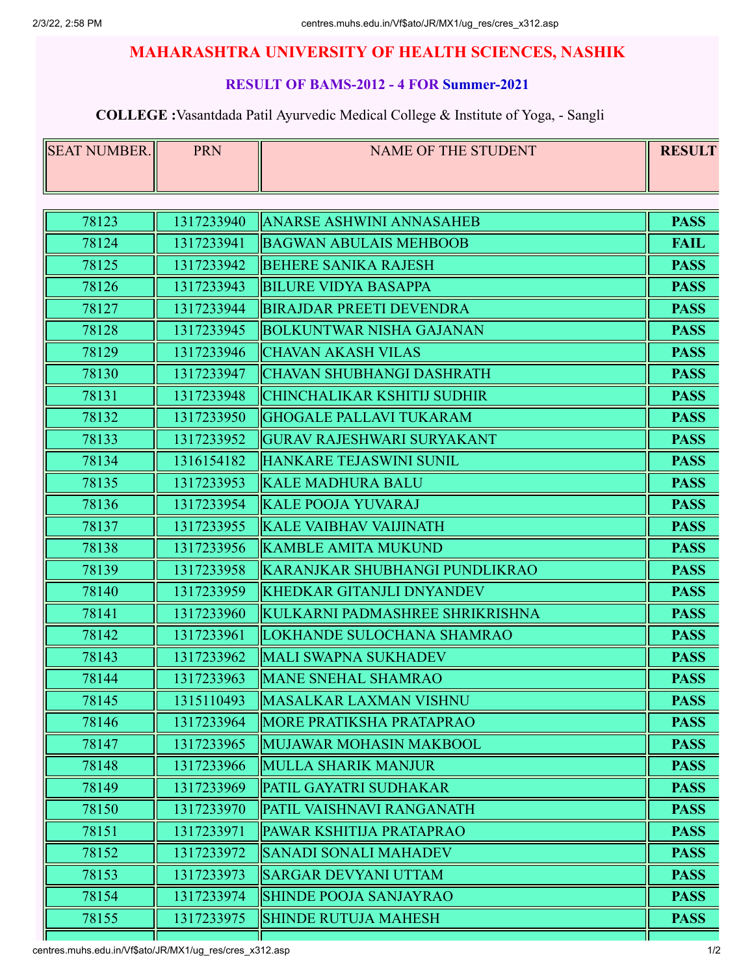### **RESULT OF BAMS-2012 - 4 FOR Summer-2021**

| SEAT NUMBER. | <b>PRN</b> | <b>NAME OF THE STUDENT</b>        | <b>RESULT</b> |
|--------------|------------|-----------------------------------|---------------|
|              |            |                                   |               |
| 78123        | 1317233940 | <b>IANARSE ASHWINI ANNASAHEB</b>  | <b>PASS</b>   |
| 78124        | 1317233941 | <b>BAGWAN ABULAIS MEHBOOB</b>     | <b>FAIL</b>   |
| 78125        | 1317233942 | <b>BEHERE SANIKA RAJESH</b>       | <b>PASS</b>   |
| 78126        | 1317233943 | <b>BILURE VIDYA BASAPPA</b>       | <b>PASS</b>   |
| 78127        | 1317233944 | <b>BIRAJDAR PREETI DEVENDRA</b>   | <b>PASS</b>   |
| 78128        | 1317233945 | <b>BOLKUNTWAR NISHA GAJANAN</b>   | <b>PASS</b>   |
| 78129        | 1317233946 | <b>CHAVAN AKASH VILAS</b>         | <b>PASS</b>   |
| 78130        | 1317233947 | CHAVAN SHUBHANGI DASHRATH         | <b>PASS</b>   |
| 78131        | 1317233948 | CHINCHALIKAR KSHITIJ SUDHIR       | <b>PASS</b>   |
| 78132        | 1317233950 | <b>GHOGALE PALLAVI TUKARAM</b>    | <b>PASS</b>   |
| 78133        | 1317233952 | <b>GURAV RAJESHWARI SURYAKANT</b> | <b>PASS</b>   |
| 78134        | 1316154182 | HANKARE TEJASWINI SUNIL           | <b>PASS</b>   |
| 78135        | 1317233953 | KALE MADHURA BALU                 | <b>PASS</b>   |
| 78136        | 1317233954 | <b>KALE POOJA YUVARAJ</b>         | <b>PASS</b>   |
| 78137        | 1317233955 | KALE VAIBHAV VAIJINATH            | <b>PASS</b>   |
| 78138        | 1317233956 | KAMBLE AMITA MUKUND               | <b>PASS</b>   |
| 78139        | 1317233958 | KARANJKAR SHUBHANGI PUNDLIKRAO    | <b>PASS</b>   |
| 78140        | 1317233959 | KHEDKAR GITANJLI DNYANDEV         | <b>PASS</b>   |
| 78141        | 1317233960 | KULKARNI PADMASHREE SHRIKRISHNA   | <b>PASS</b>   |
| 78142        | 1317233961 | ILOKHANDE SULOCHANA SHAMRAO       | <b>PASS</b>   |
| 78143        | 1317233962 | MALI SWAPNA SUKHADEV              | <b>PASS</b>   |
| 78144        | 1317233963 | <b>MANE SNEHAL SHAMRAO</b>        | <b>PASS</b>   |
| 78145        | 1315110493 | MASALKAR LAXMAN VISHNU            | <b>PASS</b>   |
| 78146        | 1317233964 | <b>IMORE PRATIKSHA PRATAPRAO</b>  | <b>PASS</b>   |
| 78147        | 1317233965 | MUJAWAR MOHASIN MAKBOOL           | <b>PASS</b>   |
| 78148        | 1317233966 | MULLA SHARIK MANJUR               | <b>PASS</b>   |
| 78149        | 1317233969 | <b>PATIL GAYATRI SUDHAKAR</b>     | <b>PASS</b>   |
| 78150        | 1317233970 | PATIL VAISHNAVI RANGANATH         | <b>PASS</b>   |
| 78151        | 1317233971 | PAWAR KSHITIJA PRATAPRAO          | <b>PASS</b>   |
| 78152        | 1317233972 | <b>SANADI SONALI MAHADEV</b>      | <b>PASS</b>   |
| 78153        | 1317233973 | <b>SARGAR DEVYANI UTTAM</b>       | <b>PASS</b>   |
| 78154        | 1317233974 | <b>SHINDE POOJA SANJAYRAO</b>     | <b>PASS</b>   |
| 78155        | 1317233975 | <b>SHINDE RUTUJA MAHESH</b>       | <b>PASS</b>   |
|              |            |                                   |               |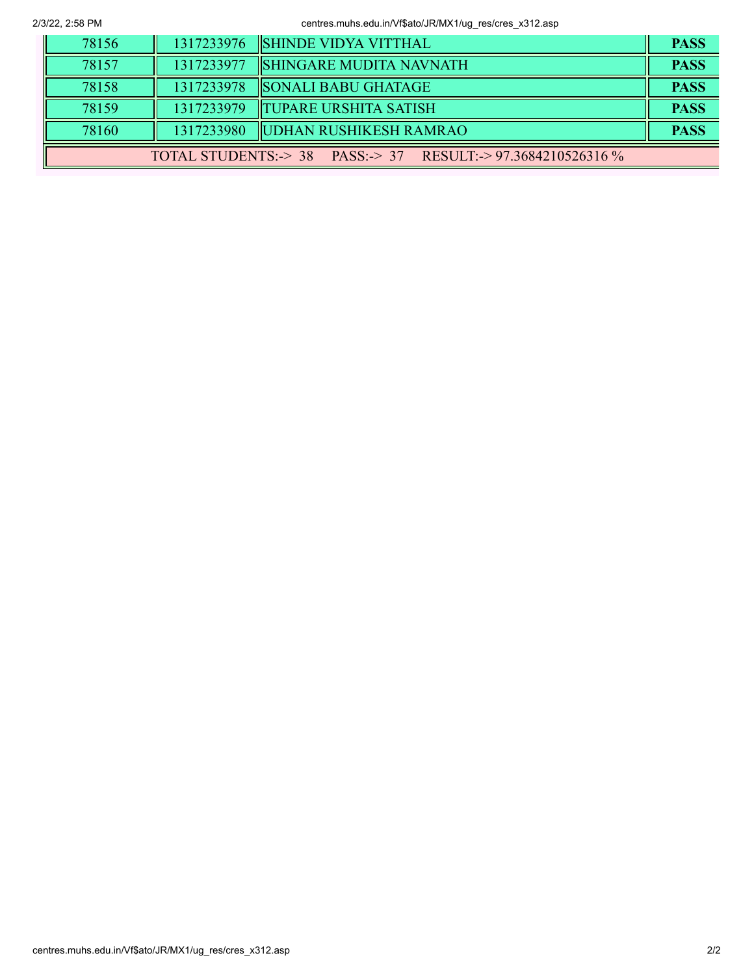2/3/22, 2:58 PM centres.muhs.edu.in/Vf\$ato/JR/MX1/ug\_res/cres\_x312.asp

| 78156                                                        |            | 1317233976  SHINDE VIDYA VITTHAL    | <b>PASS</b> |
|--------------------------------------------------------------|------------|-------------------------------------|-------------|
| 78157                                                        | 1317233977 | <b>SHINGARE MUDITA NAVNATH</b>      | <b>PASS</b> |
| 78158                                                        |            | 1317233978   SONALI BABU GHATAGE    | <b>PASS</b> |
| 78159                                                        |            | 1317233979   TUPARE URSHITA SATISH  | <b>PASS</b> |
| 78160                                                        |            | 1317233980   UDHAN RUSHIKESH RAMRAO | <b>PASS</b> |
| TOTAL STUDENTS: > 38 PASS: > 37 RESULT: > 97.3684210526316 % |            |                                     |             |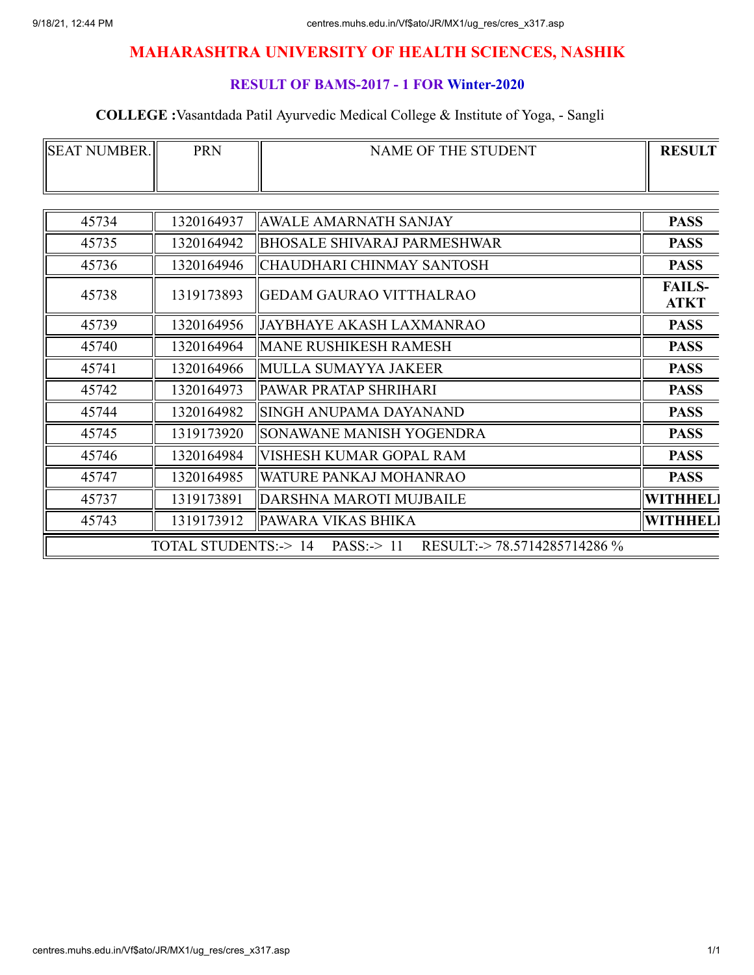### **RESULT OF BAMS-2017 - 1 FOR Winter-2020**

| <b>ISEAT</b><br>NUMBER. | PRN | NAME OF THE STUDENT | <b>RESULT</b> |
|-------------------------|-----|---------------------|---------------|
|                         |     |                     |               |

| 45734 | 1320164937                     | <b>AWALE AMARNATH SANJAY</b>                    | <b>PASS</b>                  |
|-------|--------------------------------|-------------------------------------------------|------------------------------|
| 45735 | 1320164942                     | <b>BHOSALE SHIVARAJ PARMESHWAR</b>              | <b>PASS</b>                  |
| 45736 | 1320164946                     | CHAUDHARI CHINMAY SANTOSH                       | <b>PASS</b>                  |
| 45738 | 1319173893                     | <b>GEDAM GAURAO VITTHALRAO</b>                  | <b>FAILS-</b><br><b>ATKT</b> |
| 45739 | 1320164956                     | JAYBHAYE AKASH LAXMANRAO                        | <b>PASS</b>                  |
| 45740 | 1320164964                     | <b>MANE RUSHIKESH RAMESH</b>                    | <b>PASS</b>                  |
| 45741 | 1320164966                     | MULLA SUMAYYA JAKEER                            | <b>PASS</b>                  |
| 45742 | 1320164973                     | PAWAR PRATAP SHRIHARI                           | <b>PASS</b>                  |
| 45744 | 1320164982                     | SINGH ANUPAMA DAYANAND                          | <b>PASS</b>                  |
| 45745 | 1319173920                     | SONAWANE MANISH YOGENDRA                        | <b>PASS</b>                  |
| 45746 | 1320164984                     | VISHESH KUMAR GOPAL RAM                         | <b>PASS</b>                  |
| 45747 | 1320164985                     | WATURE PANKAJ MOHANRAO                          | <b>PASS</b>                  |
| 45737 | 1319173891                     | DARSHNA MAROTI MUJBAILE                         | WITHHEL]                     |
| 45743 | 1319173912                     | PAWARA VIKAS BHIKA                              | <b>WITHHELI</b>              |
|       | <b>TOTAL STUDENTS:-&gt; 14</b> | RESULT: -> 78.5714285714286 %<br>PASS: $\ge$ 11 |                              |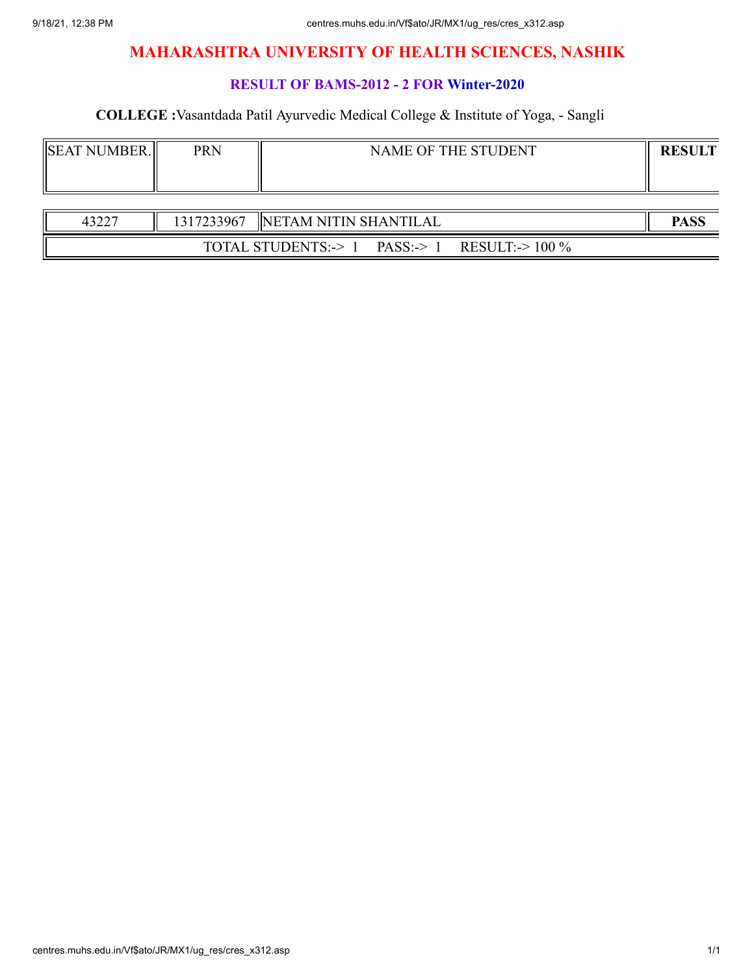### **RESULT OF BAMS-2012 - 2 FOR Winter-2020**

| <b>ISEAT NUMBER.</b> | PRN | NAME OF THE STUDENT | <b>RESULT</b> |
|----------------------|-----|---------------------|---------------|
|                      |     |                     |               |

| 43227 | 1317233967 |             | INETAM NITIN SHANTILAL |                    |  | <b>PASS</b> |
|-------|------------|-------------|------------------------|--------------------|--|-------------|
|       | TOTAL      | STUDENTS:-> | $PASS:->$              | $100\%$<br>RESULT: |  |             |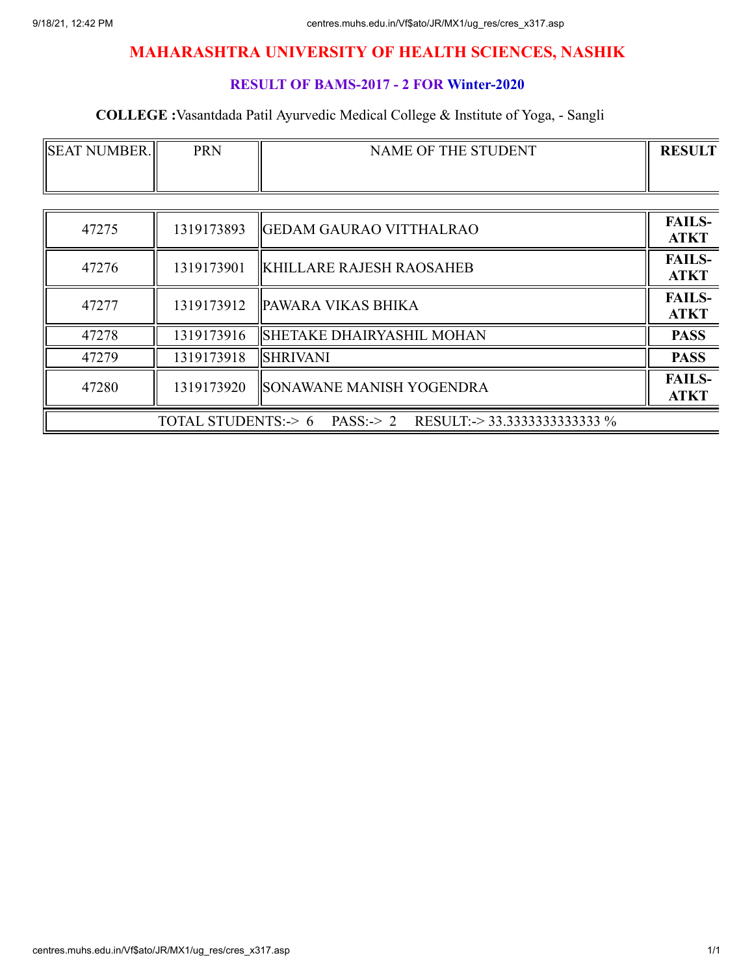### **RESULT OF BAMS-2017 - 2 FOR Winter-2020**

| <b>SEAT NUMBER.</b> | <b>PRN</b> | NAME OF THE STUDENT                                              | <b>RESULT</b>                |
|---------------------|------------|------------------------------------------------------------------|------------------------------|
|                     |            |                                                                  |                              |
|                     |            |                                                                  |                              |
| 47275               | 1319173893 | GEDAM GAURAO VITTHALRAO                                          | <b>FAILS-</b><br><b>ATKT</b> |
| 47276               | 1319173901 | <b>KHILLARE RAJESH RAOSAHEB</b>                                  | <b>FAILS-</b><br><b>ATKT</b> |
| 47277               | 1319173912 | <b>PAWARA VIKAS BHIKA</b>                                        | <b>FAILS-</b><br><b>ATKT</b> |
| 47278               | 1319173916 | <b>SHETAKE DHAIRYASHIL MOHAN</b>                                 | <b>PASS</b>                  |
| 47279               | 1319173918 | <b>SHRIVANI</b>                                                  | <b>PASS</b>                  |
| 47280               | 1319173920 | <b>SONAWANE MANISH YOGENDRA</b>                                  | <b>FAILS-</b><br><b>ATKT</b> |
|                     |            | TOTAL STUDENTS: $> 6$ PASS: $> 2$ RESULT: $> 33.333333333333333$ |                              |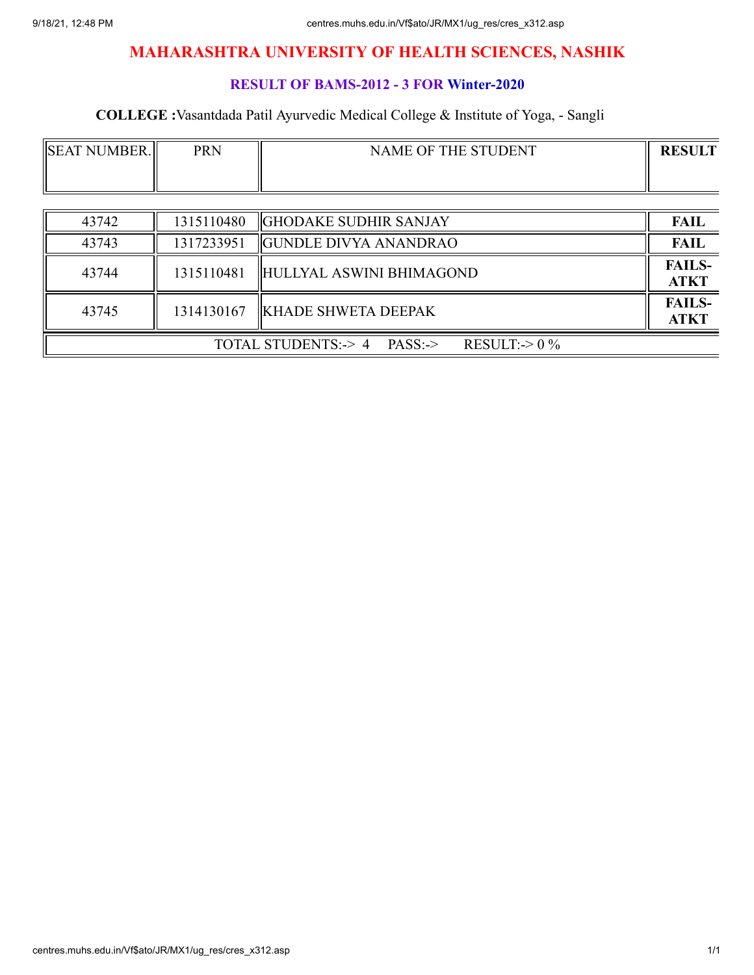### **RESULT OF BAMS-2012 - 3 FOR Winter-2020**

| <b>SEAT NUMBER.</b>                                 | <b>PRN</b> | NAME OF THE STUDENT          | <b>RESULT</b>                |
|-----------------------------------------------------|------------|------------------------------|------------------------------|
|                                                     |            |                              |                              |
| 43742                                               | 1315110480 | <b>GHODAKE SUDHIR SANJAY</b> | <b>FAIL</b>                  |
| 43743                                               | 1317233951 | <b>GUNDLE DIVYA ANANDRAO</b> | <b>FAIL</b>                  |
| 43744                                               | 1315110481 | HULLYAL ASWINI BHIMAGOND     | <b>FAILS-</b><br><b>ATKT</b> |
| 43745                                               | 1314130167 | <b>KHADE SHWETA DEEPAK</b>   | <b>FAILS-</b><br><b>ATKT</b> |
| RESULT: $\geq 0\%$<br>TOTAL STUDENTS: -> 4 PASS: -> |            |                              |                              |